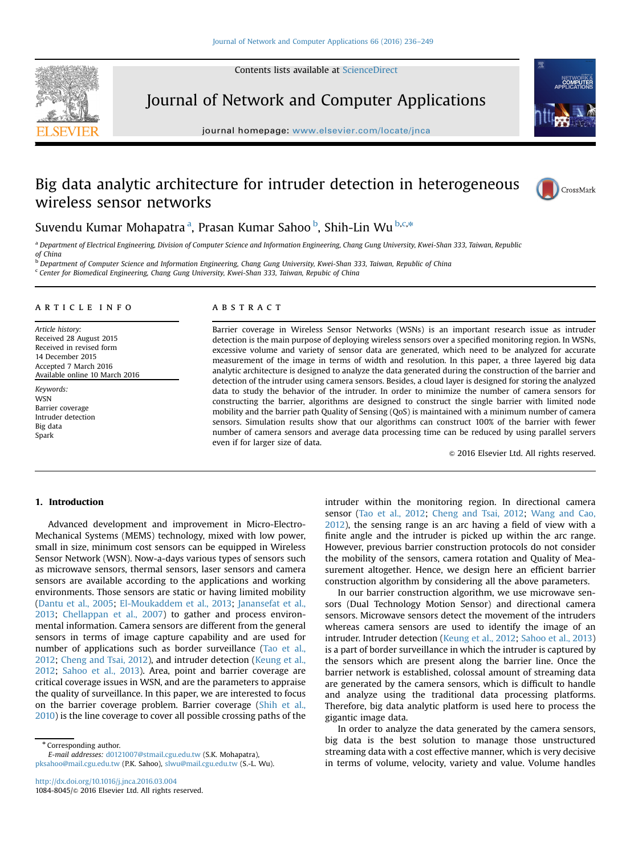Contents lists available at [ScienceDirect](www.sciencedirect.com/science/journal/10848045)



Journal of Network and Computer Applications

journal homepage: <www.elsevier.com/locate/jnca>te/jncate/jncate/jncate/jncate/jncate/jncate/jncate/jncate/jncate/jncate/jncate/jncate/jncate/jncate/jncate/jncate/jncate/jncate/jncate/jncate/jncate/jncate/jncate/jncate/jnca



# Big data analytic architecture for intruder detection in heterogeneous wireless sensor networks



# Suvendu Kumar Mohapatra <sup>a</sup>, Prasan Kumar Sahoo <sup>b</sup>, Shih-Lin Wu <sup>b,c,</sup>\*

a Department of Electrical Engineering, Division of Computer Science and Information Engineering, Chang Gung University, Kwei-Shan 333, Taiwan, Republic of China

<sup>b</sup> Department of Computer Science and Information Engineering, Chang Gung University, Kwei-Shan 333, Taiwan, Republic of China <sup>c</sup> Center for Biomedical Engineering, Chang Gung University, Kwei-Shan 333, Taiwan, Repubic of China

### article info

Article history: Received 28 August 2015 Received in revised form 14 December 2015 Accepted 7 March 2016 Available online 10 March 2016

Keywords: **WSN** Barrier coverage Intruder detection Big data Spark

## ABSTRACT

Barrier coverage in Wireless Sensor Networks (WSNs) is an important research issue as intruder detection is the main purpose of deploying wireless sensors over a specified monitoring region. In WSNs, excessive volume and variety of sensor data are generated, which need to be analyzed for accurate measurement of the image in terms of width and resolution. In this paper, a three layered big data analytic architecture is designed to analyze the data generated during the construction of the barrier and detection of the intruder using camera sensors. Besides, a cloud layer is designed for storing the analyzed data to study the behavior of the intruder. In order to minimize the number of camera sensors for constructing the barrier, algorithms are designed to construct the single barrier with limited node mobility and the barrier path Quality of Sensing (QoS) is maintained with a minimum number of camera sensors. Simulation results show that our algorithms can construct 100% of the barrier with fewer number of camera sensors and average data processing time can be reduced by using parallel servers even if for larger size of data.

 $© 2016 Elsevier Ltd. All rights reserved.$ 

# 1. Introduction

Advanced development and improvement in Micro-Electro-Mechanical Systems (MEMS) technology, mixed with low power, small in size, minimum cost sensors can be equipped in Wireless Sensor Network (WSN). Now-a-days various types of sensors such as microwave sensors, thermal sensors, laser sensors and camera sensors are available according to the applications and working environments. Those sensors are static or having limited mobility (Dantu et al., 2005; El-Moukaddem et al., 2013; Janansefat et al., 2013; Chellappan et al., 2007) to gather and process environmental information. Camera sensors are different from the general sensors in terms of image capture capability and are used for number of applications such as border surveillance (Tao et al., 2012; Cheng and Tsai, 2012), and intruder detection (Keung et al., 2012; Sahoo et al., 2013). Area, point and barrier coverage are critical coverage issues in WSN, and are the parameters to appraise the quality of surveillance. In this paper, we are interested to focus on the barrier coverage problem. Barrier coverage (Shih et al., 2010) is the line coverage to cover all possible crossing paths of the

\* Corresponding author. E-mail addresses: [d0121007@stmail.cgu.edu.tw](mailto:d0121007@stmail.cgu.edu.tw) (S.K. Mohapatra), [pksahoo@mail.cgu.edu.tw](mailto:pksahoo@mail.cgu.edu.tw) (P.K. Sahoo), [slwu@mail.cgu.edu.tw](mailto:slwu@mail.cgu.edu.tw) (S.-L. Wu). intruder within the monitoring region. In directional camera sensor (Tao et al., 2012; Cheng and Tsai, 2012; Wang and Cao, 2012), the sensing range is an arc having a field of view with a finite angle and the intruder is picked up within the arc range. However, previous barrier construction protocols do not consider the mobility of the sensors, camera rotation and Quality of Measurement altogether. Hence, we design here an efficient barrier construction algorithm by considering all the above parameters.

In our barrier construction algorithm, we use microwave sensors (Dual Technology Motion Sensor) and directional camera sensors. Microwave sensors detect the movement of the intruders whereas camera sensors are used to identify the image of an intruder. Intruder detection (Keung et al., 2012; Sahoo et al., 2013) is a part of border surveillance in which the intruder is captured by the sensors which are present along the barrier line. Once the barrier network is established, colossal amount of streaming data are generated by the camera sensors, which is difficult to handle and analyze using the traditional data processing platforms. Therefore, big data analytic platform is used here to process the gigantic image data.

In order to analyze the data generated by the camera sensors, big data is the best solution to manage those unstructured streaming data with a cost effective manner, which is very decisive in terms of volume, velocity, variety and value. Volume handles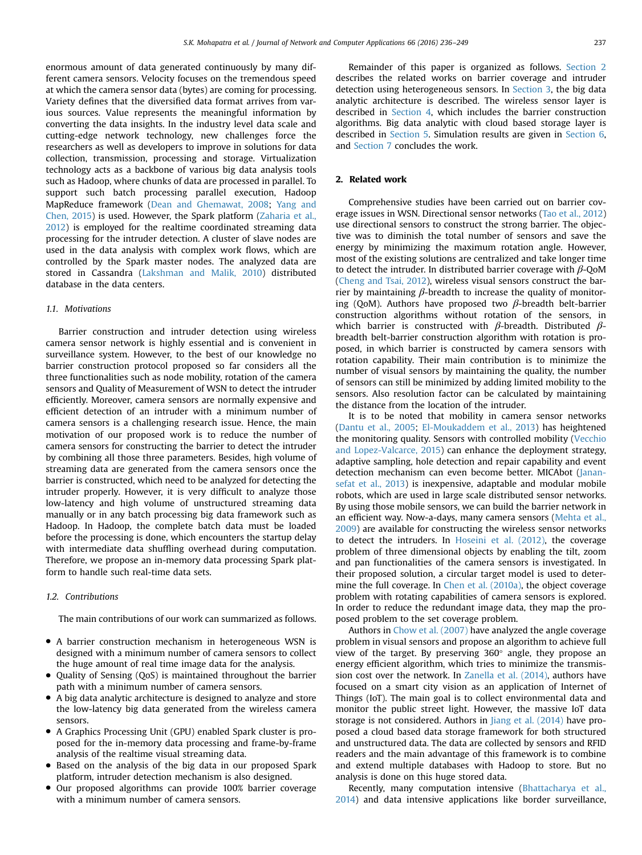enormous amount of data generated continuously by many different camera sensors. Velocity focuses on the tremendous speed at which the camera sensor data (bytes) are coming for processing. Variety defines that the diversified data format arrives from various sources. Value represents the meaningful information by converting the data insights. In the industry level data scale and cutting-edge network technology, new challenges force the researchers as well as developers to improve in solutions for data collection, transmission, processing and storage. Virtualization technology acts as a backbone of various big data analysis tools such as Hadoop, where chunks of data are processed in parallel. To support such batch processing parallel execution, Hadoop MapReduce framework (Dean and Ghemawat, 2008; Yang and Chen, 2015) is used. However, the Spark platform (Zaharia et al., 2012) is employed for the realtime coordinated streaming data processing for the intruder detection. A cluster of slave nodes are used in the data analysis with complex work flows, which are controlled by the Spark master nodes. The analyzed data are stored in Cassandra (Lakshman and Malik, 2010) distributed database in the data centers.

# 1.1. Motivations

Barrier construction and intruder detection using wireless camera sensor network is highly essential and is convenient in surveillance system. However, to the best of our knowledge no barrier construction protocol proposed so far considers all the three functionalities such as node mobility, rotation of the camera sensors and Quality of Measurement of WSN to detect the intruder efficiently. Moreover, camera sensors are normally expensive and efficient detection of an intruder with a minimum number of camera sensors is a challenging research issue. Hence, the main motivation of our proposed work is to reduce the number of camera sensors for constructing the barrier to detect the intruder by combining all those three parameters. Besides, high volume of streaming data are generated from the camera sensors once the barrier is constructed, which need to be analyzed for detecting the intruder properly. However, it is very difficult to analyze those low-latency and high volume of unstructured streaming data manually or in any batch processing big data framework such as Hadoop. In Hadoop, the complete batch data must be loaded before the processing is done, which encounters the startup delay with intermediate data shuffling overhead during computation. Therefore, we propose an in-memory data processing Spark platform to handle such real-time data sets.

#### 1.2. Contributions

The main contributions of our work can summarized as follows.

- A barrier construction mechanism in heterogeneous WSN is designed with a minimum number of camera sensors to collect the huge amount of real time image data for the analysis.
- Quality of Sensing (QoS) is maintained throughout the barrier path with a minimum number of camera sensors.
- A big data analytic architecture is designed to analyze and store the low-latency big data generated from the wireless camera sensors.
- A Graphics Processing Unit (GPU) enabled Spark cluster is proposed for the in-memory data processing and frame-by-frame analysis of the realtime visual streaming data.
- Based on the analysis of the big data in our proposed Spark platform, intruder detection mechanism is also designed.
- Our proposed algorithms can provide 100% barrier coverage with a minimum number of camera sensors.

Remainder of this paper is organized as follows. Section 2 describes the related works on barrier coverage and intruder detection using heterogeneous sensors. In Section 3, the big data analytic architecture is described. The wireless sensor layer is described in Section 4, which includes the barrier construction algorithms. Big data analytic with cloud based storage layer is described in Section 5. Simulation results are given in Section 6, and Section 7 concludes the work.

## 2. Related work

Comprehensive studies have been carried out on barrier coverage issues in WSN. Directional sensor networks (Tao et al., 2012) use directional sensors to construct the strong barrier. The objective was to diminish the total number of sensors and save the energy by minimizing the maximum rotation angle. However, most of the existing solutions are centralized and take longer time to detect the intruder. In distributed barrier coverage with  $\beta$ -QoM (Cheng and Tsai, 2012), wireless visual sensors construct the barrier by maintaining  $β$ -breadth to increase the quality of monitoring (QoM). Authors have proposed two  $β$ -breadth belt-barrier construction algorithms without rotation of the sensors, in which barrier is constructed with  $\beta$ -breadth. Distributed  $\beta$ breadth belt-barrier construction algorithm with rotation is proposed, in which barrier is constructed by camera sensors with rotation capability. Their main contribution is to minimize the number of visual sensors by maintaining the quality, the number of sensors can still be minimized by adding limited mobility to the sensors. Also resolution factor can be calculated by maintaining the distance from the location of the intruder.

It is to be noted that mobility in camera sensor networks (Dantu et al., 2005; El-Moukaddem et al., 2013) has heightened the monitoring quality. Sensors with controlled mobility (Vecchio and Lopez-Valcarce, 2015) can enhance the deployment strategy, adaptive sampling, hole detection and repair capability and event detection mechanism can even become better. MICAbot (Janansefat et al., 2013) is inexpensive, adaptable and modular mobile robots, which are used in large scale distributed sensor networks. By using those mobile sensors, we can build the barrier network in an efficient way. Now-a-days, many camera sensors (Mehta et al., 2009) are available for constructing the wireless sensor networks to detect the intruders. In Hoseini et al. (2012), the coverage problem of three dimensional objects by enabling the tilt, zoom and pan functionalities of the camera sensors is investigated. In their proposed solution, a circular target model is used to determine the full coverage. In Chen et al. (2010a), the object coverage problem with rotating capabilities of camera sensors is explored. In order to reduce the redundant image data, they map the proposed problem to the set coverage problem.

Authors in Chow et al. (2007) have analyzed the angle coverage problem in visual sensors and propose an algorithm to achieve full view of the target. By preserving 360° angle, they propose an energy efficient algorithm, which tries to minimize the transmission cost over the network. In Zanella et al. (2014), authors have focused on a smart city vision as an application of Internet of Things (IoT). The main goal is to collect environmental data and monitor the public street light. However, the massive IoT data storage is not considered. Authors in Jiang et al. (2014) have proposed a cloud based data storage framework for both structured and unstructured data. The data are collected by sensors and RFID readers and the main advantage of this framework is to combine and extend multiple databases with Hadoop to store. But no analysis is done on this huge stored data.

Recently, many computation intensive (Bhattacharya et al., 2014) and data intensive applications like border surveillance,